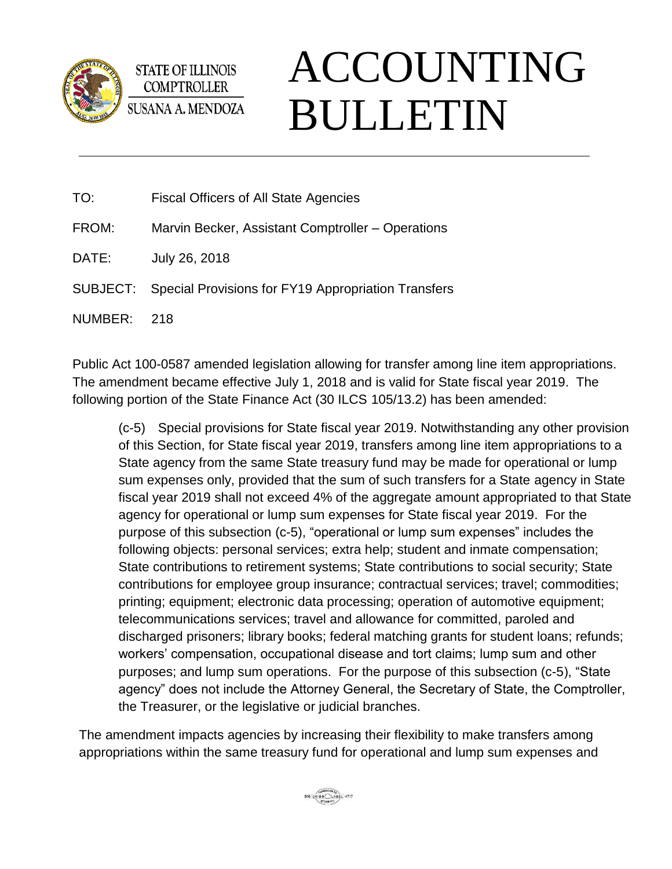

**STATE OF ILLINOIS COMPTROLLER** SUSANA A. MENDOZA

## ACCOUNTING BULLETIN

- TO: Fiscal Officers of All State Agencies
- FROM: Marvin Becker, Assistant Comptroller Operations
- DATE: July 26, 2018
- SUBJECT: Special Provisions for FY19 Appropriation Transfers
- NUMBER: 218

Public Act 100-0587 amended legislation allowing for transfer among line item appropriations. The amendment became effective July 1, 2018 and is valid for State fiscal year 2019. The following portion of the State Finance Act (30 ILCS 105/13.2) has been amended:

(c-5) Special provisions for State fiscal year 2019. Notwithstanding any other provision of this Section, for State fiscal year 2019, transfers among line item appropriations to a State agency from the same State treasury fund may be made for operational or lump sum expenses only, provided that the sum of such transfers for a State agency in State fiscal year 2019 shall not exceed 4% of the aggregate amount appropriated to that State agency for operational or lump sum expenses for State fiscal year 2019. For the purpose of this subsection (c-5), "operational or lump sum expenses" includes the following objects: personal services; extra help; student and inmate compensation; State contributions to retirement systems; State contributions to social security; State contributions for employee group insurance; contractual services; travel; commodities; printing; equipment; electronic data processing; operation of automotive equipment; telecommunications services; travel and allowance for committed, paroled and discharged prisoners; library books; federal matching grants for student loans; refunds; workers' compensation, occupational disease and tort claims; lump sum and other purposes; and lump sum operations. For the purpose of this subsection (c-5), "State agency" does not include the Attorney General, the Secretary of State, the Comptroller, the Treasurer, or the legislative or judicial branches.

The amendment impacts agencies by increasing their flexibility to make transfers among appropriations within the same treasury fund for operational and lump sum expenses and